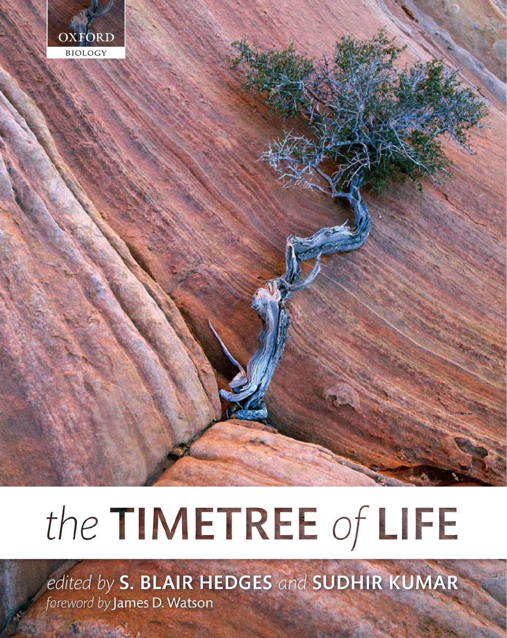

# the TIMETREE of LIFE

edited by S. BLAIR HEDGES and SUDHIR KUMAR foreword by James D. Watson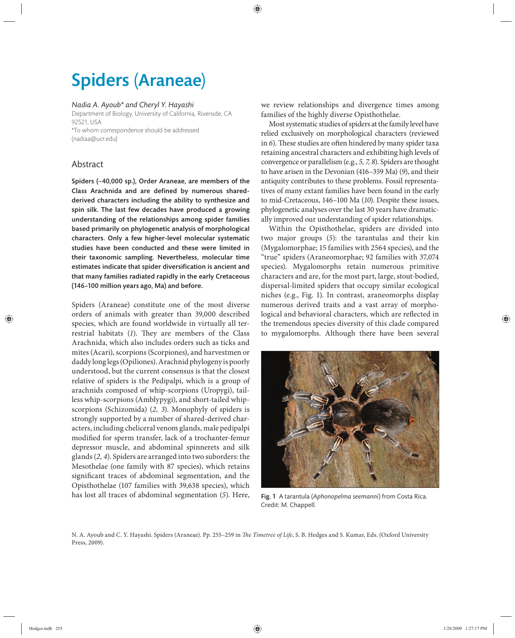# Spiders (Araneae)

### *Nadia A. Ayoub\* and Cheryl Y. Hayashi*

Department of Biology, University of California, Riverside, CA 92521, USA \*To whom correspondence should be addressed (nadiaa@ucr.edu)

# Abstract

Spiders (~40,000 sp.), Order Araneae, are members of the Class Arachnida and are defined by numerous shared derived characters including the ability to synthesize and spin silk. The last few decades have produced a growing understanding of the relationships among spider families based primarily on phylogenetic analysis of morphological characters. Only a few higher-level molecular systematic studies have been conducted and these were limited in their taxonomic sampling. Nevertheless, molecular time estimates indicate that spider diversification is ancient and that many families radiated rapidly in the early Cretaceous (146–100 million years ago, Ma) and before.

Spiders (Araneae) constitute one of the most diverse orders of animals with greater than 39,000 described species, which are found worldwide in virtually all terrestrial habitats (1). They are members of the Class Arachnida, which also includes orders such as ticks and mites (Acari), scorpions (Scorpiones), and harvestmen or daddy long legs (Opiliones). Arachnid phylogeny is poorly understood, but the current consensus is that the closest relative of spiders is the Pedipalpi, which is a group of arachnids composed of whip-scorpions (Uropygi), tailless whip-scorpions (Amblypygi), and short-tailed whipscorpions (Schizomida) (*2, 3*). Monophyly of spiders is strongly supported by a number of shared-derived characters, including cheliceral venom glands, male pedipalpi modified for sperm transfer, lack of a trochanter-femur depressor muscle, and abdominal spinnerets and silk glands (*2, 4*). Spiders are arranged into two suborders: the Mesothelae (one family with 87 species), which retains significant traces of abdominal segmentation, and the Opisthothelae (107 families with 39,638 species), which has lost all traces of abdominal segmentation (*5*). Here, we review relationships and divergence times among families of the highly diverse Opisthothelae.

Most systematic studies of spiders at the family level have relied exclusively on morphological characters (reviewed in 6). These studies are often hindered by many spider taxa retaining ancestral characters and exhibiting high levels of convergence or parallelism (e.g., *5, 7, 8*). Spiders are thought to have arisen in the Devonian (416–359 Ma) (*9*), and their antiquity contributes to these problems. Fossil representatives of many extant families have been found in the early to mid-Cretaceous, 146–100 Ma (*10*). Despite these issues, phylogenetic analyses over the last 30 years have dramatically improved our understanding of spider relationships.

Within the Opisthothelae, spiders are divided into two major groups (*5*): the tarantulas and their kin (Mygalomorphae; 15 families with 2564 species), and the "true" spiders (Araneomorphae; 92 families with 37,074 species). Mygalomorphs retain numerous primitive characters and are, for the most part, large, stout-bodied, dispersal-limited spiders that occupy similar ecological niches (e.g., Fig. 1). In contrast, araneomorphs display numerous derived traits and a vast array of morphological and behavioral characters, which are reflected in the tremendous species diversity of this clade compared to mygalomorphs. Although there have been several



Fig. 1 A tarantula (*Aphonopelma seemanni*) from Costa Rica. Credit: M. Chappell.

N. A. Ayoub and C. Y. Hayashi. Spiders (Araneae). Pp. 255-259 in *The Timetree of Life*, S. B. Hedges and S. Kumar, Eds. (Oxford University Press, 2009).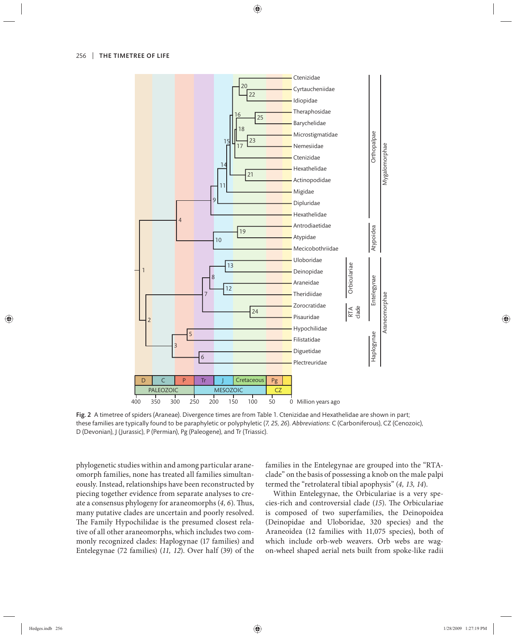

Fig. 2 A timetree of spiders (Araneae). Divergence times are from Table 1. Ctenizidae and Hexathelidae are shown in part; these families are typically found to be paraphyletic or polyphyletic (*7, 25, 26*). *Abbreviations*: C (Carboniferous), CZ (Cenozoic), D (Devonian), J (Jurassic), P (Permian), Pg (Paleogene), and Tr (Triassic).

phylogenetic studies within and among particular araneomorph families, none has treated all families simultaneously. Instead, relationships have been reconstructed by piecing together evidence from separate analyses to create a consensus phylogeny for araneomorphs (4, 6). Thus, many putative clades are uncertain and poorly resolved. The Family Hypochilidae is the presumed closest relative of all other araneomorphs, which includes two commonly recognized clades: Haplogynae (17 families) and Entelegynae (72 families) (*11, 12*). Over half (39) of the families in the Entelegynae are grouped into the "RTAclade" on the basis of possessing a knob on the male palpi termed the "retrolateral tibial apophysis" (*4, 13, 14*).

Within Entelegynae, the Orbiculariae is a very species-rich and controversial clade (15). The Orbiculariae is composed of two superfamilies, the Deinopoidea (Deinopidae and Uloboridae, 320 species) and the Araneoidea (12 families with 11,075 species), both of which include orb-web weavers. Orb webs are wagon-wheel shaped aerial nets built from spoke-like radii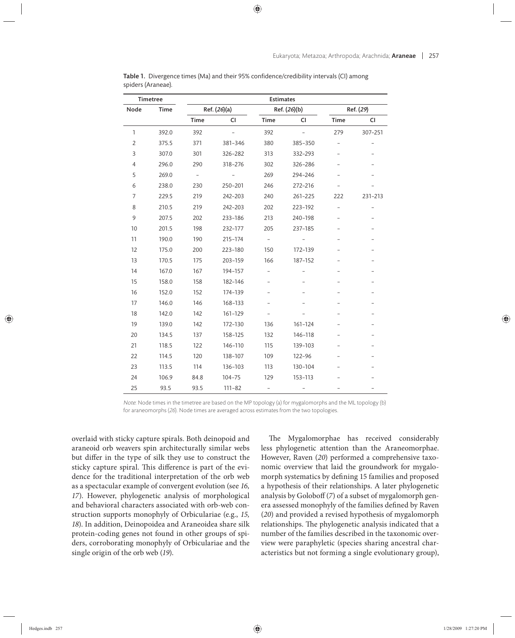| Timetree       |       | <b>Estimates</b>         |                |                          |           |                          |         |
|----------------|-------|--------------------------|----------------|--------------------------|-----------|--------------------------|---------|
| Node<br>Time   |       | Ref. (26)(a)             |                | Ref. (26)(b)             |           | Ref. (29)                |         |
|                |       | <b>Time</b>              | <b>CI</b>      | Time                     | <b>CI</b> | Time                     | CI      |
| $\mathbf{1}$   | 392.0 | 392                      | $\overline{a}$ | 392                      |           | 279                      | 307-251 |
| $\sqrt{2}$     | 375.5 | 371                      | 381-346        | 380                      | 385-350   |                          |         |
| 3              | 307.0 | 301                      | 326-282        | 313                      | 332-293   |                          |         |
| $\overline{4}$ | 296.0 | 290                      | 318-276        | 302                      | 326-286   |                          |         |
| 5              | 269.0 | $\overline{\phantom{0}}$ |                | 269                      | 294-246   |                          |         |
| 6              | 238.0 | 230                      | 250-201        | 246                      | 272-216   |                          |         |
| $\overline{7}$ | 229.5 | 219                      | 242-203        | 240                      | 261-225   | 222                      | 231-213 |
| 8              | 210.5 | 219                      | 242-203        | 202                      | 223-192   | $\overline{\phantom{0}}$ |         |
| 9              | 207.5 | 202                      | 233-186        | 213                      | 240-198   |                          |         |
| 10             | 201.5 | 198                      | 232-177        | 205                      | 237-185   |                          |         |
| 11             | 190.0 | 190                      | 215-174        | $\overline{\phantom{a}}$ |           |                          |         |
| 12             | 175.0 | 200                      | 223-180        | 150                      | 172-139   |                          |         |
| 13             | 170.5 | 175                      | 203-159        | 166                      | 187-152   |                          |         |
| 14             | 167.0 | 167                      | 194-157        | $\overline{a}$           |           |                          |         |
| 15             | 158.0 | 158                      | 182-146        |                          |           |                          |         |
| 16             | 152.0 | 152                      | 174-139        |                          |           |                          |         |
| 17             | 146.0 | 146                      | 168-133        |                          |           |                          |         |
| 18             | 142.0 | 142                      | 161-129        |                          |           |                          |         |
| 19             | 139.0 | 142                      | 172-130        | 136                      | 161-124   |                          |         |
| 20             | 134.5 | 137                      | 158-125        | 132                      | 146-118   |                          |         |
| 21             | 118.5 | 122                      | 146-110        | 115                      | 139-103   |                          |         |
| 22             | 114.5 | 120                      | 138-107        | 109                      | 122-96    |                          |         |
| 23             | 113.5 | 114                      | 136-103        | 113                      | 130-104   |                          |         |
| 24             | 106.9 | 84.8                     | $104 - 75$     | 129                      | 153-113   |                          |         |
| 25             | 93.5  | 93.5                     | $111 - 82$     | $\overline{\phantom{0}}$ |           |                          |         |

Table 1. Divergence times (Ma) and their 95% confidence/credibility intervals (CI) among spiders (Araneae).

Note: Node times in the timetree are based on the MP topology (a) for mygalomorphs and the ML topology (b) for araneomorphs (26). Node times are averaged across estimates from the two topologies.

overlaid with sticky capture spirals. Both deinopoid and araneoid orb weavers spin architecturally similar webs but differ in the type of silk they use to construct the sticky capture spiral. This difference is part of the evidence for the traditional interpretation of the orb web as a spectacular example of convergent evolution (see *16, 17*). However, phylogenetic analysis of morphological and behavioral characters associated with orb-web construction supports monophyly of Orbiculariae (e.g., 15, *18*). In addition, Deinopoidea and Araneoidea share silk protein-coding genes not found in other groups of spiders, corroborating monophyly of Orbiculariae and the single origin of the orb web (*19*).

The Mygalomorphae has received considerably less phylogenetic attention than the Araneomorphae. However, Raven (*20*) performed a comprehensive taxonomic overview that laid the groundwork for mygalomorph systematics by defining 15 families and proposed a hypothesis of their relationships. A later phylogenetic analysis by Goloboff (7) of a subset of mygalomorph genera assessed monophyly of the families defined by Raven (*20*) and provided a revised hypothesis of mygalomorph relationships. The phylogenetic analysis indicated that a number of the families described in the taxonomic overview were paraphyletic (species sharing ancestral characteristics but not forming a single evolutionary group),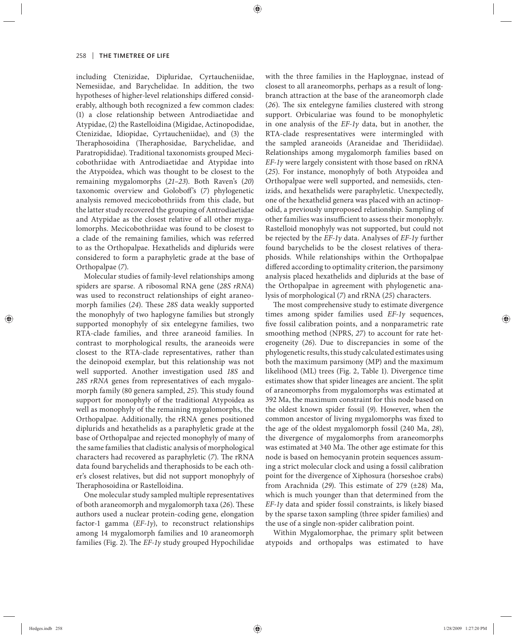including Ctenizidae, Dipluridae, Cyrtaucheniidae, Nemesiidae, and Barychelidae. In addition, the two hypotheses of higher-level relationships differed considerably, although both recognized a few common clades: (1) a close relationship between Antrodiaetidae and Atypidae, (2) the Rastelloidina (Migidae, Actinopodidae, Ctenizidae, Idiopidae, Cyrtaucheniidae), and (3) the Theraphosoidina (Theraphosidae, Barychelidae, and Paratropididae). Traditional taxonomists grouped Mecico bothriidae with Antrodiaetidae and Atypidae into the Atypoidea, which was thought to be closest to the remaining mygalomorphs (*21–23*). Both Raven's (*20*) taxonomic overview and Goloboff's (7) phylogenetic analysis removed mecicobothriids from this clade, but the latter study recovered the grouping of Antrodiaetidae and Atypidae as the closest relative of all other mygalomorphs. Mecicobothriidae was found to be closest to a clade of the remaining families, which was referred to as the Orthopalpae. Hexathelids and diplurids were considered to form a paraphyletic grade at the base of Orthopalpae (*7*).

Molecular studies of family-level relationships among spiders are sparse. A ribosomal RNA gene (*28S rRNA*) was used to reconstruct relationships of eight araneomorph families (24). These 28S data weakly supported the monophyly of two haplogyne families but strongly supported monophyly of six entelegyne families, two RTA-clade families, and three araneoid families. In contrast to morphological results, the araneoids were closest to the RTA-clade representatives, rather than the deinopoid exemplar, but this relationship was not well supported. Another investigation used *18S* and *28S rRNA* genes from representatives of each mygalomorph family (80 genera sampled, 25). This study found support for monophyly of the traditional Atypoidea as well as monophyly of the remaining mygalomorphs, the Orthopalpae. Additionally, the rRNA genes positioned diplurids and hexathelids as a paraphyletic grade at the base of Orthopalpae and rejected monophyly of many of the same families that cladistic analysis of morphological characters had recovered as paraphyletic (7). The rRNA data found barychelids and theraphosids to be each other's closest relatives, but did not support monophyly of Theraphosoidina or Rastelloidina.

One molecular study sampled multiple representatives of both araneomorph and mygalomorph taxa (26). These authors used a nuclear protein-coding gene, elongation factor-1 gamma (*EF-1γ*), to reconstruct relationships among 14 mygalomorph families and 10 araneomorph families (Fig. 2). The EF-1y study grouped Hypochilidae with the three families in the Haploygnae, instead of closest to all araneomorphs, perhaps as a result of longbranch attraction at the base of the araneomorph clade (26). The six entelegyne families clustered with strong support. Orbiculariae was found to be monophyletic in one analysis of the *EF-1γ* data, but in another, the RTA-clade respresentatives were intermingled with the sampled araneoids (Araneidae and Theridiidae). Relationships among mygalomorph families based on *EF-1γ* were largely consistent with those based on rRNA (*25*). For instance, monophyly of both Atypoidea and Orthopalpae were well supported, and nemesiids, ctenizids, and hexathelids were paraphyletic. Unexpectedly, one of the hexathelid genera was placed with an actinopodid, a previously unproposed relationship. Sampling of other families was insufficient to assess their monophyly. Rastelloid monophyly was not supported, but could not be rejected by the *EF-1γ* data. Analyses of *EF-1γ* further found barychelids to be the closest relatives of theraphosids. While relationships within the Orthopalpae differed according to optimality criterion, the parsimony analysis placed hexathelids and diplurids at the base of the Orthopalpae in agreement with phylogenetic analysis of morphological (*7*) and rRNA (*25*) characters.

The most comprehensive study to estimate divergence times among spider families used *EF-1γ* sequences, five fossil calibration points, and a nonparametric rate smoothing method (NPRS, *27*) to account for rate heterogeneity (26). Due to discrepancies in some of the phylogenetic results, this study calculated estimates using both the maximum parsimony (MP) and the maximum likelihood (ML) trees (Fig. 2, Table 1). Divergence time estimates show that spider lineages are ancient. The split of araneomorphs from mygalomorphs was estimated at 392 Ma, the maximum constraint for this node based on the oldest known spider fossil (*9*). However, when the common ancestor of living mygalomorphs was fixed to the age of the oldest mygalomorph fossil (240 Ma, *28*), the divergence of mygalomorphs from araneomorphs was estimated at 340 Ma. The other age estimate for this node is based on hemocyanin protein sequences assuming a strict molecular clock and using a fossil calibration point for the divergence of Xiphosura (horseshoe crabs) from Arachnida  $(29)$ . This estimate of 279  $(\pm 28)$  Ma, which is much younger than that determined from the *EF-1γ* data and spider fossil constraints, is likely biased by the sparse taxon sampling (three spider families) and the use of a single non-spider calibration point.

Within Mygalomorphae, the primary split between atypoids and orthopalps was estimated to have